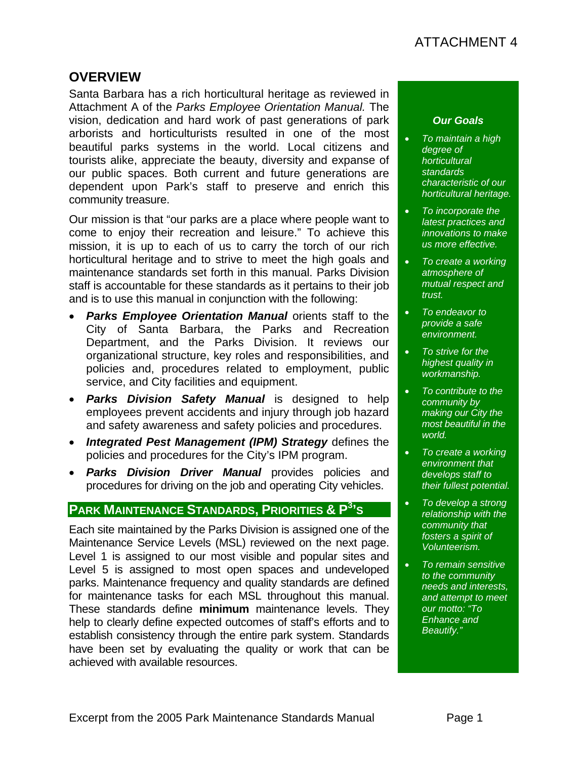### **OVERVIEW**

Santa Barbara has a rich horticultural heritage as reviewed in Attachment A of the *Parks Employee Orientation Manual.* The vision, dedication and hard work of past generations of park arborists and horticulturists resulted in one of the most beautiful parks systems in the world. Local citizens and tourists alike, appreciate the beauty, diversity and expanse of our public spaces. Both current and future generations are dependent upon Park's staff to preserve and enrich this community treasure.

Our mission is that "our parks are a place where people want to come to enjoy their recreation and leisure." To achieve this mission, it is up to each of us to carry the torch of our rich horticultural heritage and to strive to meet the high goals and maintenance standards set forth in this manual. Parks Division staff is accountable for these standards as it pertains to their job and is to use this manual in conjunction with the following:

- *Parks Employee Orientation Manual* orients staff to the City of Santa Barbara, the Parks and Recreation Department, and the Parks Division. It reviews our organizational structure, key roles and responsibilities, and policies and, procedures related to employment, public service, and City facilities and equipment.
- *Parks Division Safety Manual* is designed to help employees prevent accidents and injury through job hazard and safety awareness and safety policies and procedures.
- *Integrated Pest Management (IPM) Strategy* defines the policies and procedures for the City's IPM program.
- *Parks Division Driver Manual* provides policies and procedures for driving on the job and operating City vehicles.

# **PARK MAINTENANCE STANDARDS, PRIORITIES & P<sup>3</sup> 'S**

Each site maintained by the Parks Division is assigned one of the Maintenance Service Levels (MSL) reviewed on the next page. Level 1 is assigned to our most visible and popular sites and Level 5 is assigned to most open spaces and undeveloped parks. Maintenance frequency and quality standards are defined for maintenance tasks for each MSL throughout this manual. These standards define **minimum** maintenance levels. They help to clearly define expected outcomes of staff's efforts and to establish consistency through the entire park system. Standards have been set by evaluating the quality or work that can be achieved with available resources.

#### *Our Goals*

- *To maintain a high degree of horticultural standards characteristic of our horticultural heritage.*
- *To incorporate the latest practices and innovations to make us more effective.*
- *To create a working atmosphere of mutual respect and trust.*
- *To endeavor to provide a safe environment.*
- *To strive for the highest quality in workmanship.*
- *To contribute to the community by making our City the most beautiful in the world.*
- *To create a working environment that develops staff to their fullest potential.*
- *To develop a strong relationship with the community that fosters a spirit of Volunteerism.*
- *To remain sensitive to the community needs and interests, and attempt to meet our motto: "To Enhance and Beautify."*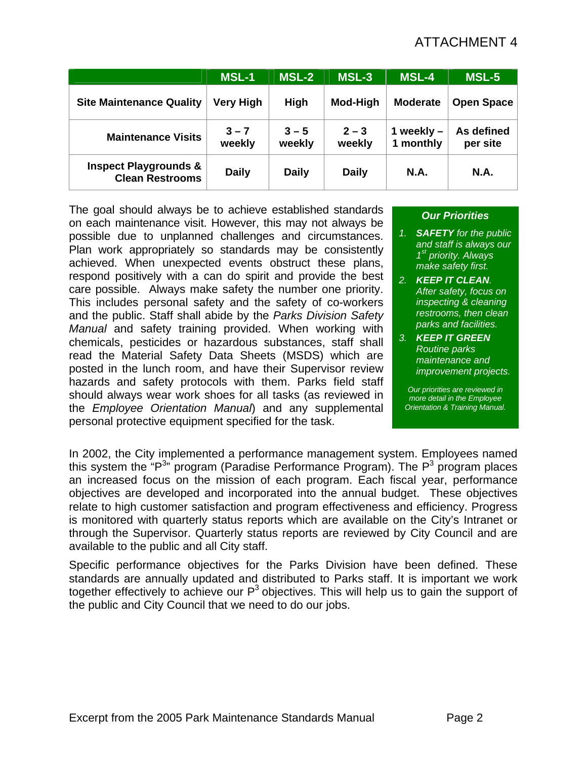# ATTACHMENT 4

|                                                            | <b>MSL-1</b>      | <b>MSL-2</b>      | <b>MSL-3</b>      | <b>MSL-4</b>              | <b>MSL-5</b>           |
|------------------------------------------------------------|-------------------|-------------------|-------------------|---------------------------|------------------------|
| <b>Site Maintenance Quality</b>                            | <b>Very High</b>  | High              | Mod-High          | <b>Moderate</b>           | <b>Open Space</b>      |
| <b>Maintenance Visits</b>                                  | $3 - 7$<br>weekly | $3 - 5$<br>weekly | $2 - 3$<br>weekly | 1 weekly $-$<br>1 monthly | As defined<br>per site |
| <b>Inspect Playgrounds &amp;</b><br><b>Clean Restrooms</b> | <b>Daily</b>      | <b>Daily</b>      | <b>Daily</b>      | <b>N.A.</b>               | <b>N.A.</b>            |

The goal should always be to achieve established standards on each maintenance visit. However, this may not always be possible due to unplanned challenges and circumstances. Plan work appropriately so standards may be consistently achieved. When unexpected events obstruct these plans, respond positively with a can do spirit and provide the best care possible. Always make safety the number one priority. This includes personal safety and the safety of co-workers and the public. Staff shall abide by the *Parks Division Safety Manual* and safety training provided. When working with chemicals, pesticides or hazardous substances, staff shall read the Material Safety Data Sheets (MSDS) which are posted in the lunch room, and have their Supervisor review hazards and safety protocols with them. Parks field staff should always wear work shoes for all tasks (as reviewed in the *Employee Orientation Manual*) and any supplemental personal protective equipment specified for the task.

#### *Our Priorities*

- *1. SAFETY for the public and staff is always our 1st priority. Always make safety first.*
- *2. KEEP IT CLEAN. After safety, focus on inspecting & cleaning restrooms, then clean parks and facilities.*
- *3. KEEP IT GREEN Routine parks maintenance and improvement projects.*

*Our priorities are reviewed in more detail in the Employee Orientation & Training Manual.* 

In 2002, the City implemented a performance management system. Employees named this system the "P<sup>3</sup>" program (Paradise Performance Program). The P<sup>3</sup> program places an increased focus on the mission of each program. Each fiscal year, performance objectives are developed and incorporated into the annual budget. These objectives relate to high customer satisfaction and program effectiveness and efficiency. Progress is monitored with quarterly status reports which are available on the City's Intranet or through the Supervisor. Quarterly status reports are reviewed by City Council and are available to the public and all City staff.

Specific performance objectives for the Parks Division have been defined. These standards are annually updated and distributed to Parks staff. It is important we work together effectively to achieve our  $P<sup>3</sup>$  objectives. This will help us to gain the support of the public and City Council that we need to do our jobs.